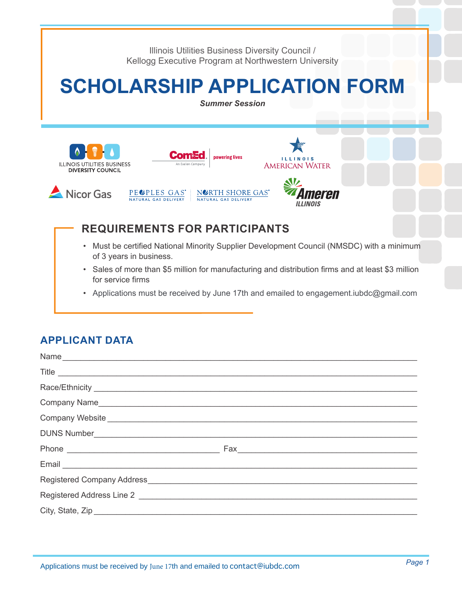Illinois Utilities Business Diversity Council / Kellogg Executive Program at Northwestern University

# **SCHOLARSHIP APPLICATION FORM**

*Summer Session*



## **REQUIREMENTS FOR PARTICIPANTS**

- Must be certified National Minority Supplier Development Council (NMSDC) with a minimum of 3 years in business.
- Sales of more than \$5 million for manufacturing and distribution firms and at least \$3 million for service firms
- Applications must be received by June 17th and emailed to engagement.iubdc@gmail.com

### **APPLICANT DATA**

| Title                                                                                                                                                                                                                                                                                                                                                              |
|--------------------------------------------------------------------------------------------------------------------------------------------------------------------------------------------------------------------------------------------------------------------------------------------------------------------------------------------------------------------|
|                                                                                                                                                                                                                                                                                                                                                                    |
| Company Name                                                                                                                                                                                                                                                                                                                                                       |
|                                                                                                                                                                                                                                                                                                                                                                    |
|                                                                                                                                                                                                                                                                                                                                                                    |
| $\begin{picture}(180,10) \put(0,0){\vector(1,0){100}} \put(15,0){\vector(1,0){100}} \put(15,0){\vector(1,0){100}} \put(15,0){\vector(1,0){100}} \put(15,0){\vector(1,0){100}} \put(15,0){\vector(1,0){100}} \put(15,0){\vector(1,0){100}} \put(15,0){\vector(1,0){100}} \put(15,0){\vector(1,0){100}} \put(15,0){\vector(1,0){100}} \put(15,0){\vector(1,0){100}}$ |
| Email <u>San Ann ann an Dùbhan ann an Dùbhan ann an Dùbhan ann an Dùbhan ann an Dùbhan ann an Dùbhan ann an Dùbhan ann an Dùbhan ann an Dùbhan ann an Dùbhan ann an Dùbhan ann an Dùbhan ann an Dùbhan ann an Dùbhan ann an Dùbh</u>                                                                                                                               |
|                                                                                                                                                                                                                                                                                                                                                                    |
|                                                                                                                                                                                                                                                                                                                                                                    |
|                                                                                                                                                                                                                                                                                                                                                                    |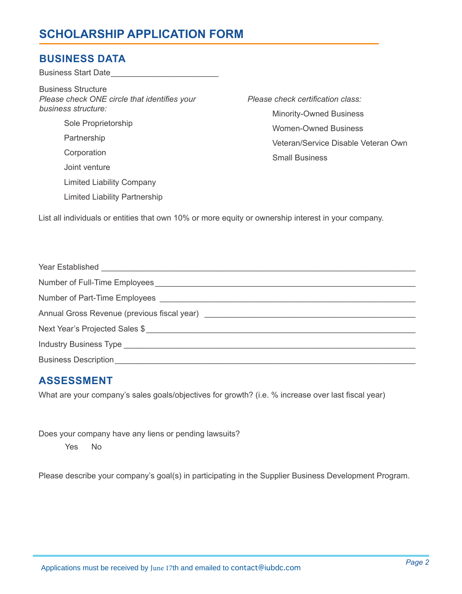# **SCHOLARSHIP APPLICATION FORM**

| <b>BUSINESS DATA</b>                                                                                                                                                                                                                               |                                                                                                                                                                    |
|----------------------------------------------------------------------------------------------------------------------------------------------------------------------------------------------------------------------------------------------------|--------------------------------------------------------------------------------------------------------------------------------------------------------------------|
| <b>Business Start Date</b>                                                                                                                                                                                                                         |                                                                                                                                                                    |
| <b>Business Structure</b><br>Please check ONE circle that identifies your<br>business structure:<br>Sole Proprietorship<br>Partnership<br>Corporation<br>Joint venture<br><b>Limited Liability Company</b><br><b>Limited Liability Partnership</b> | Please check certification class:<br><b>Minority-Owned Business</b><br><b>Women-Owned Business</b><br>Veteran/Service Disable Veteran Own<br><b>Small Business</b> |

List all individuals or entities that own 10% or more equity or ownership interest in your company.

| Next Year's Projected Sales \$ |
|--------------------------------|
|                                |
|                                |

### **ASSESSMENT**

What are your company's sales goals/objectives for growth? (i.e. % increase over last fiscal year)

Does your company have any liens or pending lawsuits?

OYes ONo

Please describe your company's goal(s) in participating in the Supplier Business Development Program.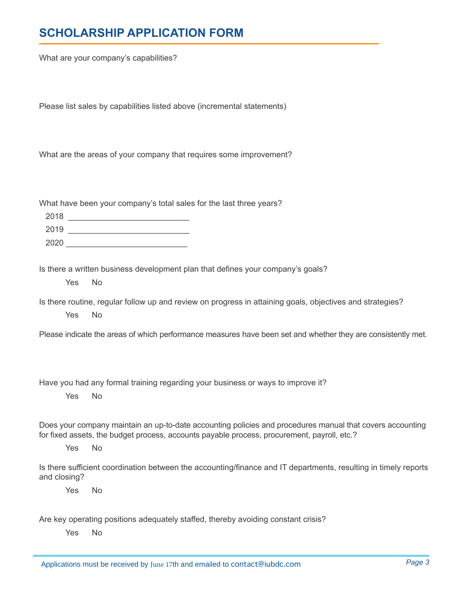# **SCHOLARSHIP APPLICATION FORM**

What are your company's capabilities?

Please list sales by capabilities listed above (incremental statements)

What are the areas of your company that requires some improvement?

What have been your company's total sales for the last three years?

2018 \_\_\_\_\_\_\_\_\_\_\_\_\_\_\_\_\_\_\_\_\_\_\_\_\_\_\_ 2019 \_\_\_\_\_\_\_\_\_\_\_\_\_\_\_\_\_\_\_\_\_\_\_\_\_\_\_

2020 \_\_\_\_\_\_\_\_\_\_\_\_\_\_\_\_\_\_\_\_\_\_\_\_\_\_\_

Is there a written business development plan that defines your company's goals?

OYes ONo

Is there routine, regular follow up and review on progress in attaining goals, objectives and strategies?

OYes ONo

Please indicate the areas of which performance measures have been set and whether they are consistently met.

Have you had any formal training regarding your business or ways to improve it?

#### OYes ONo

Does your company maintain an up-to-date accounting policies and procedures manual that covers accounting for fixed assets, the budget process, accounts payable process, procurement, payroll, etc.?

OYes ONo

Is there sufficient coordination between the accounting/finance and IT departments, resulting in timely reports and closing?

OYes ONo

Are key operating positions adequately staffed, thereby avoiding constant crisis?

OYes ONo